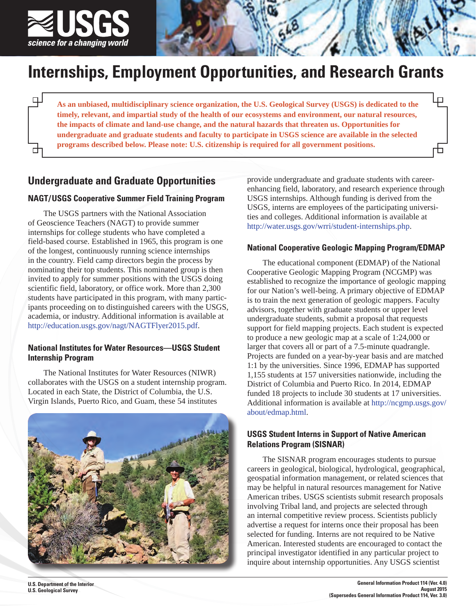

 $\Box$ 

士

# **Internships, Employment Opportunities, and Research Grants**

**As an unbiased, multidisciplinary science organization, the U.S. Geological Survey (USGS) is dedicated to the timely, relevant, and impartial study of the health of our ecosystems and environment, our natural resources, the impacts of climate and land-use change, and the natural hazards that threaten us. Opportunities for undergraduate and graduate students and faculty to participate in USGS science are available in the selected programs described below. Please note: U.S. citizenship is required for all government positions.**

# **Undergraduate and Graduate Opportunities**

## **NAGT/USGS Cooperative Summer Field Training Program**

The USGS partners with the National Association of Geoscience Teachers (NAGT) to provide summer internships for college students who have completed a field-based course. Established in 1965, this program is one of the longest, continuously running science internships in the country. Field camp directors begin the process by nominating their top students. This nominated group is then invited to apply for summer positions with the USGS doing scientific field, laboratory, or office work. More than 2,300 students have participated in this program, with many participants proceeding on to distinguished careers with the USGS, academia, or industry. Additional information is available at <http://education.usgs.gov/nagt/NAGTFlyer2015.pdf>.

## **National Institutes for Water Resources—USGS Student Internship Program**

The National Institutes for Water Resources (NIWR) collaborates with the USGS on a student internship program. Located in each State, the District of Columbia, the U.S. Virgin Islands, Puerto Rico, and Guam, these 54 institutes



provide undergraduate and graduate students with careerenhancing field, laboratory, and research experience through USGS internships. Although funding is derived from the USGS, interns are employees of the participating universities and colleges. Additional information is available at <http://water.usgs.gov/wrri/student-internships.php>.

## **National Cooperative Geologic Mapping Program/EDMAP**

The educational component (EDMAP) of the National Cooperative Geologic Mapping Program (NCGMP) was established to recognize the importance of geologic mapping for our Nation's well-being. A primary objective of EDMAP is to train the next generation of geologic mappers. Faculty advisors, together with graduate students or upper level undergraduate students, submit a proposal that requests support for field mapping projects. Each student is expected to produce a new geologic map at a scale of 1:24,000 or larger that covers all or part of a 7.5-minute quadrangle. Projects are funded on a year-by-year basis and are matched 1:1 by the universities. Since 1996, EDMAP has supported 1,155 students at 157 universities nationwide, including the District of Columbia and Puerto Rico. In 2014, EDMAP funded 18 projects to include 30 students at 17 universities. [Additional information is available at http://ncgmp.usgs.gov/](http://ncgmp.usgs.gov/about/edmap.html) about/edmap.html.

## **USGS Student Interns in Support of Native American Relations Program (SISNAR)**

The SISNAR program encourages students to pursue careers in geological, biological, hydrological, geographical, geospatial information management, or related sciences that may be helpful in natural resources management for Native American tribes. USGS scientists submit research proposals involving Tribal land, and projects are selected through an internal competitive review process. Scientists publicly advertise a request for interns once their proposal has been selected for funding. Interns are not required to be Native American. Interested students are encouraged to contact the principal investigator identified in any particular project to inquire about internship opportunities. Any USGS scientist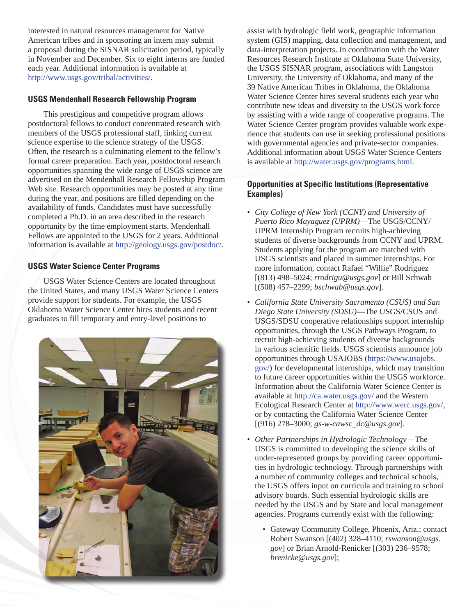interested in natural resources management for Native American tribes and in sponsoring an intern may submit a proposal during the SISNAR solicitation period, typically in November and December. Six to eight interns are funded each year. Additional information is available at http://www.usgs.gov/tribal/activities/.

## **USGS Mendenhall Research Fellowship Program**

This prestigious and competitive program allows postdoctoral fellows to conduct concentrated research with members of the USGS professional staff, linking current science expertise to the science strategy of the USGS. Often, the research is a culminating element to the fellow's formal career preparation. Each year, postdoctoral research opportunities spanning the wide range of USGS science are advertised on the Mendenhall Research Fellowship Program Web site. Research opportunities may be posted at any time during the year, and positions are filled depending on the availability of funds. Candidates must have successfully completed a Ph.D. in an area described in the research opportunity by the time employment starts. Mendenhall Fellows are appointed to the USGS for 2 years. Additional information is available at http://geology.usgs.gov/postdoc/.

## **USGS Water Science Center Programs**

USGS Water Science Centers are located throughout the United States, and many USGS Water Science Centers provide support for students. For example, the USGS Oklahoma Water Science Center hires students and recent graduates to fill temporary and entry-level positions to



assist with hydrologic field work, geographic information system (GIS) mapping, data collection and management, and data-interpretation projects. In coordination with the Water Resources Research Institute at Oklahoma State University, the USGS SISNAR program, associations with Langston University, the University of Oklahoma, and many of the 39 Native American Tribes in Oklahoma, the Oklahoma Water Science Center hires several students each year who contribute new ideas and diversity to the USGS work force by assisting with a wide range of cooperative programs. The Water Science Center program provides valuable work experience that students can use in seeking professional positions with governmental agencies and private-sector companies. Additional information about USGS Water Science Centers is available at http://water.usgs.gov/programs.html.

## **Opportunities at Specific Institutions (Representative Examples)**

- *City College of New York (CCNY) and University of Puerto Rico Mayaguez (UPRM)*—The USGS/CCNY/ UPRM Internship Program recruits high-achieving students of diverse backgrounds from CCNY and UPRM. Students applying for the program are matched with USGS scientists and placed in summer internships. For more information, contact Rafael "Willie" Rodriguez [(813) 498–5024; *rrodrigu@usgs.gov*] or Bill Schwab [(508) 457–2299; *bschwab@usgs.gov*].
- *California State University Sacramento (CSUS) and San Diego State University (SDSU)*—The USGS/CSUS and USGS/SDSU cooperative relationships support internship opportunities, through the USGS Pathways Program, to recruit high-achieving students of diverse backgrounds in various scientific fields. USGS scientists announce job opportunities through USAJOBS (https://www.usajobs. gov/) for developmental internships, which may transition to future career opportunities within the USGS workforce. Information about the California Water Science Center is available at http://ca.water.usgs.gov/ and the Western Ecological Research Center at http://www.werc.usgs.gov/, or by contacting the California Water Science Center [(916) 278–3000; *gs-w-cawsc\_dc@usgs.gov*].
- *Other Partnerships in Hydrologic Technology*—The USGS is committed to developing the science skills of under-represented groups by providing career opportunities in hydrologic technology. Through partnerships with a number of community colleges and technical schools, the USGS offers input on curricula and training to school advisory boards. Such essential hydrologic skills are needed by the USGS and by State and local management agencies. Programs currently exist with the following:
	- Gateway Community College, Phoenix, Ariz.; contact Robert Swanson [(402) 328–4110; *rswanson@usgs. gov*[\] or Brian Arnold-Renicker \[\(303\) 236–9578;](mailto:rswanson@usgs.gov)  *brenicke@usgs.gov*];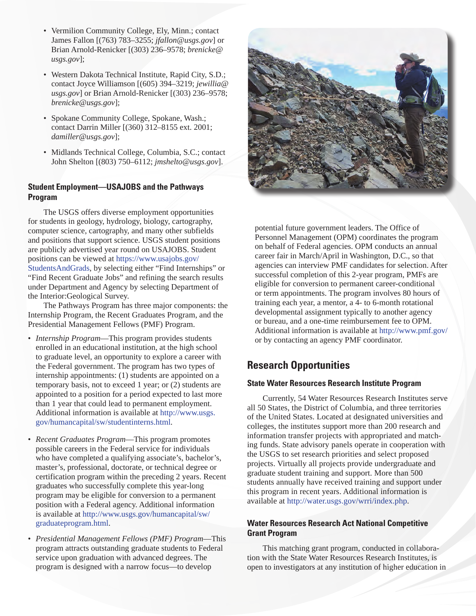- Vermilion Community College, Ely, Minn.; contact James Fallon [(763) 783–3255; *jfallon@usgs.gov*] or [Brian Arnold-Renicker \[\(303\) 236–9578;](mailto:brenicke@usgs.gov) *brenicke@ usgs.gov*];
- Western Dakota Technical Institute, Rapid City, S.D.; contact Joyce Williamson [(605) 394–3219; *jewillia@ usgs.gov*[\] or Brian Arnold-Renicker \[\(303\) 236–9578;](mailto:jewillia@usgs.gov)  *brenicke@usgs.gov*];
- Spokane Community College, Spokane, Wash.; contact Darrin Miller [(360) 312–8155 ext. 2001; *damiller@usgs.gov*];
- Midlands Technical College, Columbia, S.C.; contact John Shelton [(803) 750–6112; *jmshelto@usgs.gov*].

### **Student Employment—USAJOBS and the Pathways Program**

The USGS offers diverse employment opportunities for students in geology, hydrology, biology, cartography, computer science, cartography, and many other subfields and positions that support science. USGS student positions are publicly advertised year round on USAJOBS. Student positions can be viewed at https://www.usajobs.gov/ [StudentsAndGrads, by selecting either "Find Internships" or](https://www.usajobs.gov/StudentsAndGrads) "Find Recent Graduate Jobs" and refining the search results under Department and Agency by selecting Department of the Interior:Geological Survey.

The Pathways Program has three major components: the Internship Program, the Recent Graduates Program, and the Presidential Management Fellows (PMF) Program.

- *Internship Program*—This program provides students enrolled in an educational institution, at the high school to graduate level, an opportunity to explore a career with the Federal government. The program has two types of internship appointments: (1) students are appointed on a temporary basis, not to exceed 1 year; or (2) students are appointed to a position for a period expected to last more than 1 year that could lead to permanent employment. [Additional information is available at http://www.usgs.](http://www.usgs.gov/humancapital/sw/studentinterns.html) gov/humancapital/sw/studentinterns.html.
- *Recent Graduates Program*—This program promotes possible careers in the Federal service for individuals who have completed a qualifying associate's, bachelor's, master's, professional, doctorate, or technical degree or certification program within the preceding 2 years. Recent graduates who successfully complete this year-long program may be eligible for conversion to a permanent position with a Federal agency. Additional information [is available at http://www.usgs.gov/humancapital/sw/](http://www.usgs.gov/humancapital/sw/graduateprogram.html) graduateprogram.html.
- *Presidential Management Fellows (PMF) Program*—This program attracts outstanding graduate students to Federal service upon graduation with advanced degrees. The program is designed with a narrow focus—to develop



potential future government leaders. The Office of Personnel Management (OPM) coordinates the program on behalf of Federal agencies. OPM conducts an annual career fair in March/April in Washington, D.C., so that agencies can interview PMF candidates for selection. After successful completion of this 2-year program, PMFs are eligible for conversion to permanent career-conditional or term appointments. The program involves 80 hours of training each year, a mentor, a 4- to 6-month rotational developmental assignment typically to another agency or bureau, and a one-time reimbursement fee to OPM. Additional information is available at http://www.pmf.gov/ or by contacting an agency PMF coordinator.

## **Research Opportunities**

#### **State Water Resources Research Institute Program**

Currently, 54 Water Resources Research Institutes serve all 50 States, the District of Columbia, and three territories of the United States. Located at designated universities and colleges, the institutes support more than 200 research and information transfer projects with appropriated and matching funds. State advisory panels operate in cooperation with the USGS to set research priorities and select proposed projects. Virtually all projects provide undergraduate and graduate student training and support. More than 500 students annually have received training and support under this program in recent years. Additional information is available at http://water.usgs.gov/wrri/index.php.

## **Water Resources Research Act National Competitive Grant Program**

This matching grant program, conducted in collaboration with the State Water Resources Research Institutes, is open to investigators at any institution of higher education in